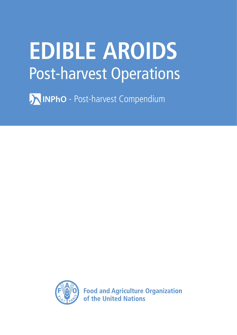# **EDIBLE AROIDS** Post-harvest Operations

**AINPhO** - Post-harvest Compendium



**Food and Agriculture Organization** of the United Nations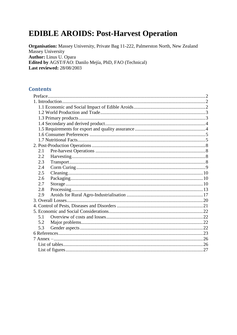## **EDIBLE AROIDS: Post-Harvest Operation**

Organisation: Massey University, Private Bag 11-222, Palmerston North, New Zealand Massey University Author: Linus U. Opara Edited by AGST/FAO: Danilo Mejía, PhD, FAO (Technical) **Last reviewed: 28/08/2003** 

#### **Contents**

| 2.1 |  |
|-----|--|
| 2.2 |  |
| 2.3 |  |
| 2.4 |  |
| 2.5 |  |
| 2.6 |  |
| 2.7 |  |
| 2.8 |  |
| 2.9 |  |
|     |  |
|     |  |
|     |  |
| 5.1 |  |
| 5.2 |  |
| 5.3 |  |
|     |  |
|     |  |
|     |  |
|     |  |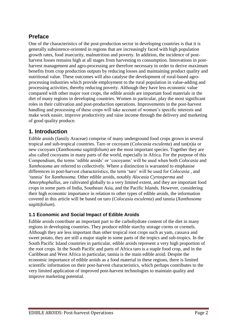## <span id="page-2-0"></span>**Preface**

One of the characteristics of the post-production sector in developing countries is that it is generally subsistence-oriented in regions that are increasingly faced with high population growth rates, food insecurity, malnutrition and poverty. In addition, the incidence of postharvest losses remains high at all stages from harvesting to consumption. Innovations in postharvest management and agro-processing are therefore necessary in order to derive maximum benefits from crop production outputs by reducing losses and maintaining product quality and nutritional value. These outcomes will also catalyse the development of rural-based agroprocessing industries which provide employment to the rural population in value-adding and processing activities, thereby reducing poverty. Although they have less economic value compared with other major root crops, the edible aroids are important food materials in the diet of many regions in developing countries. Women in particular, play the most significant roles in their cultivation and post-production operations. Improvements in the post-harvest handling and processing of these crops will take account of women's specific interests and make work easier, improve productivity and raise income through the delivery and marketing of good quality produce.

## <span id="page-2-1"></span>**1. Introduction**

Edible aroids (family Araceae) comprise of many underground food crops grown in several tropical and sub-tropical countries. Taro or cocoyam (*Colocasia esculenta*) and tan(n)ia or new cocoyam (*Xanthosoma sagittifolium*) are the most important species. Together they are also called cocoyams in many parts of the world, especially in Africa. For the purpose of this Compendium, the terms "edible aroids" or "cocoyams" will be used when both *Colocasia* and *Xanthosoma* are referred to collectively. Where a distinction is warranted to emphasise differences in post-harvest characteristics, the term "taro" will be used for *Colocasia* , and "tannia" for *Xanthosoma*. Other edible aroids, notably *Alocasia Cyrtosperma* and *Amorphophallus,* are cultivated globally to a very limited extent, and they are important food crops in some parts of India, Southeast Asia, and the Pacific Islands. However, considering their high economic importance in relation to other types of edible aroids, the information covered in this article will be based on taro (*Colocasia esculenta*) and tannia (*Xanthosoma sagittifolium*).

## <span id="page-2-2"></span>**1.1 Economic and Social Impact of Edible Aroids**

Edible aroids contribute an important part to the carbohydrate content of the diet in many regions in developing countries. They produce edible starchy storage corms or cormels. Although they are less important than other tropical root crops such as yam, cassava and sweet potato, they are still a major staple in some parts of the tropics and sub-tropics. In the South Pacific Island countries in particular, edible aroids represent a very high proportion of the root crops. In the South Pacific and parts of Africa taro is a staple food crop, and in the Caribbean and West Africa in particular, tannia is the main edible aroid. Despite the economic importance of edible aroids as a food material in these regions, there is limited scientific information on their post-harvest characteristics, which perhaps contributes to the very limited application of improved post-harvest technologies to maintain quality and improve marketing potential.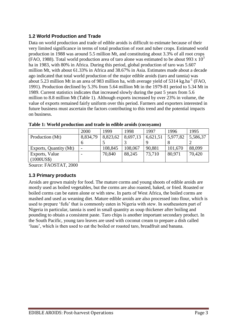## <span id="page-3-0"></span>**1.2 World Production and Trade**

Data on world production and trade of edible aroids is difficult to estimate because of their very limited significance in terms of total production of root and tuber crops. Estimated world production in 1988 was around 5.5 million Mt, and constituting about 3.3% of all root crops (FAO, 1988). Total world production area of taro alone was estimated to be about 993 x  $10<sup>3</sup>$ ha in 1983, with 80% in Africa. During this period, global production of taro was 5.607 million Mt, with about 61.33% in Africa and 38.67% in Asia. Estimates made about a decade ago indicated that total world production of the major edible aroids (taro and tannia) was about 5.23 million Mt in an area of 983 million ha, with average yield of 5314 kg.ha<sup>-1</sup> (FAO, 1991). Production declined by 5.3% from 5.64 million Mt in the 1979-81 period to 5.34 Mt in 1989. Current statistics indicates that increased slowly during the past 5 years from 5.6 million to 8.8 million Mt (Table 1). Although exports increased by over 23% in volume, the value of exports remained fairly uniform over this period. Farmers and exporters interested in future business must ascertain the factors contributing to this trend and the potential impacts on business.

|                        | 2000     | 1999     | 1998     | 1997     | 1996     | 1995     |
|------------------------|----------|----------|----------|----------|----------|----------|
| Production (Mt)        | 8,834,79 | 8,823,62 | 8,697,13 | 6,621,51 | 5,977,82 | 5,586,37 |
|                        |          |          |          |          |          |          |
| Exports, Quantity (Mt) |          | 108,845  | 108,067  | 90,881   | 101,670  | 88,099   |
| Exports, Value         |          | 70,840   | 88,245   | 73,710   | 80,971   | 70,420   |
| (1000US\$)             |          |          |          |          |          |          |

**Table 1: World production and trade in edible aroids (cocoyams)**

Source: FAOSTAT, 2000

## <span id="page-3-1"></span>**1.3 Primary products**

Aroids are grown mainly for food. The mature corms and young shoots of edible aroids are mostly used as boiled vegetables, but the corms are also roasted, baked, or fried. Roasted or boiled corms can be eaten alone or with stew. In parts of West Africa, the boiled corms are mashed and used as weaning diet. Mature edible aroids are also processed into flour, which is used to prepare "fufu" that is commonly eaten in Nigeria with stew. In southeastern part of Nigeria in particular, tannia is used in small quantity as soup thickener after boiling and pounding to obtain a consistent paste. Taro chips is another important secondary product. In the South Pacific, young taro leaves are used with coconut cream to prepare a dish called "luau", which is then used to eat the boiled or roasted taro, breadfruit and banana.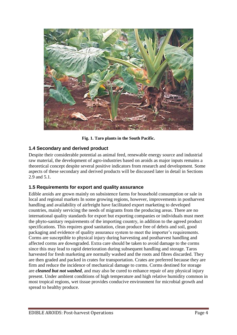

**Fig. 1. Taro plants in the South Pacific.**

## <span id="page-4-0"></span>**1.4 Secondary and derived product**

Despite their considerable potential as animal feed, renewable energy source and industrial raw material, the development of agro-industries based on aroids as major inputs remains a theoretical concept despite several positive indicators from research and development. Some aspects of these secondary and derived products will be discussed later in detail in Sections 2.9 and 5.1.

## <span id="page-4-1"></span>**1.5 Requirements for export and quality assurance**

Edible aroids are grown mainly on subsistence farms for household consumption or sale in local and regional markets In some growing regions, however, improvements in postharvest handling and availability of airfreight have facilitated export marketing to developed countries, mainly servicing the needs of migrants from the producing areas. There are no international quality standards for export but exporting companies or individuals must meet the phyto-sanitary requirements of the importing country, in addition to the agreed product specifications. This requires good sanitation, clean produce free of debris and soil, good packaging and evidence of quality assurance system to meet the importer's requirements. Corms are susceptible to physical injury during harvesting and postharvest handling and affected corms are downgraded. Extra care should be taken to avoid damage to the corms since this may lead to rapid deterioration during subsequent handling and storage. Taros harvested for fresh marketing are normally washed and the roots and fibres discarded. They are then graded and packed in crates for transportation. Crates are preferred because they are firm and reduce the incidence of mechanical damage to corms. Corms destined for storage are *cleaned but not washed*, and may also be cured to enhance repair of any physical injury present. Under ambient conditions of high temperature and high relative humidity common in most tropical regions, wet tissue provides conducive environment for microbial growth and spread to healthy produce.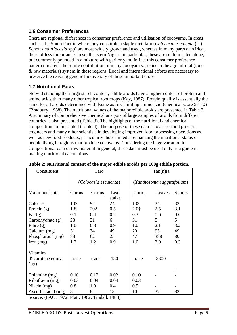### <span id="page-5-0"></span>**1.6 Consumer Preferences**

There are regional differences in consumer preference and utilisation of cocoyams. In areas such as the South Pacific where they constitute a staple diet, taro (*Colocasia esculenta* (L.) Schott *and Alocasia* spp) are most widely grown and used, whereas in many parts of Africa, these of less importance. In southeastern Nigeria in particular, these are seldom eaten alone, but commonly pounded in a mixture with gari or yam. In fact this consumer preference pattern threatens the future contribution of many cocoyam varieties to the agricultural (food & raw materials) system in these regions. Local and international efforts are necessary to preserve the existing genetic biodiversity of these important crops.

## <span id="page-5-1"></span>**1.7 Nutritional Facts**

Notwithstanding their high starch content, edible aroids have a higher content of protein and amino acids than many other tropical root crops (Kay, 1987). Protein quality is essentially the same for all aroids determined with lysine as first limiting amino acid (chemical score 57-70) (Bradbury, 1988). The nutritional values of the major edible aroids are presented in Table 2. A summary of comprehensive chemical analysis of large samples of aroids from different countries is also presented (Table 3). The highlights of the nutritional and chemical composition are presented (Table 4). The purpose of these data is to assist food process engineers and many other scientists in developing improved food processing operations as well as new food products, particularly those aimed at enhancing the nutritional status of people living in regions that produce cocoyams. Considering the huge variation in compositional data of raw material in general, these data must be used only as a guide in making nutritional calculations.

| Constituent                                | Taro                  |       |                             | $Tan(n)$ ia      |        |               |  |
|--------------------------------------------|-----------------------|-------|-----------------------------|------------------|--------|---------------|--|
|                                            | (Colocasia esculenta) |       | (Xanthosoma saggittifolium) |                  |        |               |  |
| Major nutrients                            | C <sub>orms</sub>     | Corms | Leaf                        | Corms            | Leaves | <b>Shoots</b> |  |
|                                            |                       |       | stalks                      |                  |        |               |  |
| Calories                                   | 102                   | 94    | 24                          | 133              | 34     | 33            |  |
| Protein $(g)$                              | 1.8                   | 202   | 0.5                         | 2.0 <sup>†</sup> | 2.5    | 3.1           |  |
| Fat $(g)$                                  | 0.1                   | 0.4   | 0.2                         | 0.3              | 1.6    | 0.6           |  |
| Carbohydrate (g)                           | 23                    | 21    | 6                           | 31               | 5      | 5             |  |
| Fibre $(g)$                                | 1.0                   | 0.8   | 0.9                         | 1.0              | 2.1    | 3.2           |  |
| Calcium (mg)                               | 51                    | 34    | 49                          | 20               | 95     | 49            |  |
| Phosphorous (mg)                           | 88                    | 62    | 25                          | 47               | 388    | 80            |  |
| Iron $(mg)$                                | 1.2                   | 1.2   | 0.9                         | 1.0              | 2.0    | 0.3           |  |
| Vitamins<br>ß-carotene equiv.<br>$(\mu g)$ | trace                 | trace | 180                         | trace            | 3300   |               |  |
| Thiamine (mg)                              | 0.10                  | 0.12  | 0.02                        | 0.10             |        |               |  |
| Riboflavin (mg)                            | 0.03                  | 0.04  | 0.04                        | 0.03             |        |               |  |
| Niacin (mg)                                | 0.8                   | 1.0   | 0.4                         | 0.5              |        |               |  |
| Ascorbic acid (mg)                         | 8                     | 8     | 13                          | 10               | 37     | 82            |  |

#### **Table 2: Nutritional content of the major edible aroids per 100g edible portion.**

Source: (FAO, 1972; Platt, 1962; Tindall, 1983)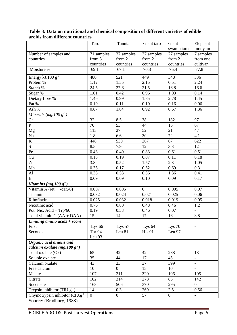|                                       | Taro           | Tannia           | Giant taro        | Giant           | Elephant                 |
|---------------------------------------|----------------|------------------|-------------------|-----------------|--------------------------|
|                                       |                |                  |                   | swamp taro      | foot yam                 |
| Number of samples and                 | 71 samples     | 37 samples       | 37 samples        | 27 samples      | 7 samples                |
| countries                             | from 3         | from 2           | from 2            | from 2          | from one                 |
|                                       | countries      | countries        | countries         | countries       | cultivar                 |
| Moisture %                            | 69.1           | 67.1             | 70.3              | 75.4            | 77.8                     |
| Energy kJ.100 $g^{-1}$                | 480            | 521              | 449               | 348             | 336                      |
| Protein %                             | 1.12           | 1.55             | 2.15              | 0.51            | 2.24                     |
| Starch %                              | 24.5           | 27.6             | 21.5              | 16.8            | 16.6                     |
| Sugar %                               | 1.01           | 0.42             | 0.96              | 1.03            | 0.14                     |
| Dietary fibre %                       | 1.46           | 0.99             | 1.85              | 2.78            | 1.45                     |
| Fat %                                 | 0.10           | 0.11             | 0.10              | 0.16            | 0.06                     |
| Ash %                                 | 0.87           | 1.04             | 0.92              | 0.67            | 1.36                     |
| Minerals (mg. $100 g^{-1}$ )          |                |                  |                   |                 |                          |
| Ca                                    | 32             | 8.5              | 38                | 182             | 97                       |
| $\mathbf{P}$                          | 70             | 53               | 44                | 16              | 67                       |
| Mg                                    | 115            | 27               | 52                | 21              | 47                       |
| $\rm Na$                              | 1.8            | 6.6              | $\overline{30}$   | $\overline{72}$ | 4.1                      |
| $\mathbf K$                           | 448            | 530              | 267               | 67              | 622                      |
| $\overline{S}$                        | 8.5            | 7.9              | 12                | 3.3             | 12                       |
| Fe                                    | 0.43           | 0.40             | 0.83              | 0.61            | 0.51                     |
| Cu                                    | 0.18           | 0.19             | 0.07              | 0.11            | $0.18\,$                 |
| $\overline{Zn}$                       | 3.8            | 0.52             | 1.57              | 2.3             | 1.05                     |
| Mn                                    | 0.35           | 0.17             | 0.62              | 0.69            | 0.31                     |
| AI                                    | 0.38           | 0.53             | 0.36              | 1.36            | 0.41                     |
| $\bf{B}$                              | 0.09           | 0.09             | 0.10              | 0.09            | 0.17                     |
| Vitamins (mg. $100 g-1$ )             |                |                  |                   |                 |                          |
| Vitamin A (ret. $+$ -car./6)          | 0.007          | 0.005            | $\mathbf{0}$      | 0.005           | 0.07                     |
| Thiamin                               | 0.032          | 0.024            | 0.021             | 0.025           | 0.06                     |
| Riboflavin                            | 0.025          | 0.032            | 0.018             | 0.019           | 0.05                     |
| Nicotinic acid                        | 0.76           | 0.80             | 0.48              | 0.46            | $1.2\,$                  |
| Pot. Nic. $Acid = Trp/60$             | 0.19           | 0.33             | 0.46              | 0.07            | $\overline{\phantom{a}}$ |
| Total vitamin $C(AA + DAA)$           | 15             | 14               | 17                | 16              | 3.8                      |
| Limiting amino $acids + score$        |                |                  |                   |                 |                          |
| First                                 | Lys $66$       | Lys 57           | Lys <sub>64</sub> | Lys $70$        |                          |
| Seconds                               | Thr 94         | Leu 81           | <b>His 91</b>     | Leu 97          | $\overline{\phantom{a}}$ |
|                                       | Ileu 93        |                  |                   |                 |                          |
| Organic acid anions and               |                |                  |                   |                 |                          |
| calcium oxalate (mg. $100 g^{-1}$ )   |                |                  |                   |                 |                          |
| Total oxalate (Ox)                    | 65             | 42               | 42                | 288             | 18                       |
| Soluble oxalate                       | 35             | 44               | 17                | 45              | $\qquad \qquad -$        |
| Calcium oxalate                       | 43             | 23               | 37                | 399             | $\Box$                   |
| Free calcium                          | 10             | $\overline{0}$   | 15                | 10              | $\equiv$                 |
| Malate                                | 107            | 211              | 320               | 106             | 105                      |
| Citrate                               | 102            | 314              | 278               | 86              | 142                      |
| Succinate                             | 168            | 506              | 370               | 295             | $\boldsymbol{0}$         |
| Trypsin inhibitor $(TIU.g^{-1})$      | 14             | 0.3              | 269               | 2.5             | 0.56                     |
| Chymotrypsin inhibitor $(CIU.g^{-1})$ | $\overline{0}$ | $\boldsymbol{0}$ | 57                | $\overline{0}$  |                          |

#### **Table 3: Data on nutritional and chemical composition of different varieties of edible aroids from different countries**

Source: (Bradbury, 1988)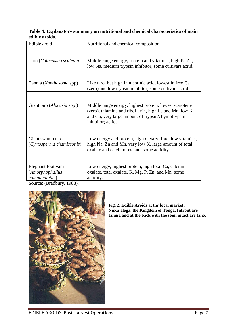| Table 4: Explanatory summary on nutritional and chemical characteristics of main |  |  |
|----------------------------------------------------------------------------------|--|--|
| edible aroids.                                                                   |  |  |

| Edible aroid                                                  | Nutritional and chemical composition                                                                                                                                                       |
|---------------------------------------------------------------|--------------------------------------------------------------------------------------------------------------------------------------------------------------------------------------------|
| Taro (Colocasia esculenta)                                    | Middle range energy, protein and vitamins, high K. Zn,<br>low Na, medium trypsin inhibitor; some cultivars acrid.                                                                          |
| Tannia (Xanthosoma spp)                                       | Like taro, but high in nicotinic acid, lowest in free Ca<br>(zero) and low trypsin inhibitor; some cultivars acrid.                                                                        |
| Giant taro (Alocasia spp.)                                    | Middle range energy, highest protein, lowest -carotene<br>(zero), thiamine and riboflavin, high Fe and Mn, low K<br>and Cu, very large amount of trypsin/chymotrypsin<br>inhibitor; acrid. |
| Giant swamp taro<br>(Cyrtosperma chamissonis)                 | Low energy and protein, high dietary fibre, low vitamins,<br>high Na, Zn and Mn, very low K, large amount of total<br>oxalate and calcium oxalate; some acridity.                          |
| Elephant foot yam<br>(Amorphophallus<br>campanulatus)<br>1000 | Low energy, highest protein, high total Ca, calcium<br>oxalate, total oxalate, K, Mg, P, Zn, and Mn; some<br>acridity.                                                                     |

Source: (Bradbury, 1988).



**Fig. 2. Edible Aroids at thr local market, Nuku'aloga, the Kingdom of Tonga, Infront are tannia and at the back with the stem intact are tano.**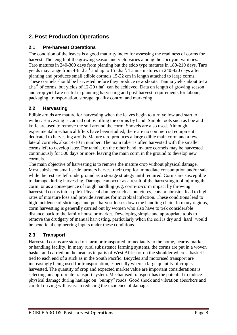## <span id="page-8-0"></span>**2. Post-Production Operations**

### <span id="page-8-1"></span>**2.1 Pre-harvest Operations**

The condition of the leaves is a good maturity index for assessing the readiness of corms for harvest. The length of the growing season and yield varies among the cocoyam varieties. Taro matures in 240-300 days from planting but the eddo type matures in 180-210 days. Taro yields may range from  $4-6$  t.ha<sup>-1</sup> and up to  $15$  t.ha<sup>-1</sup>. Tannia matures in 240-420 days after planting and produces small edible cormels 15-22 cm in length attached to large corms. These cormels should be harvested before they produce new shoots. Tannia yields about 6-12 t.ha<sup>-1</sup> of corms, but yields of 12-20 t.ha<sup>-1</sup> can be achieved. Data on length of growing season and crop yield are useful in planning harvesting and post-harvest requirements for labour, packaging, transportation, storage, quality control and marketing.

## <span id="page-8-2"></span>**2.2 Harvesting**

Edible aroids are mature for harvesting when the leaves begin to turn yellow and start to wither. Harvesting is carried out by lifting the corms by hand. Simple tools such as hoe and knife are used to remove the soil around the corm. Shovels are also used. Although experimental mechanical lifters have been studied, there are no commercial equipment dedicated to harvesting aroids. Mature taro produces a large edible main corm and a few lateral cormels, about 4-10 in number. The main tuber is often harvested with the smaller corms left to develop later. For tannia, on the other hand, mature cormels may be harvested continuously for 500 days or more, leaving the main corm in the ground to develop new cormels.

The main objective of harvesting is to remove the mature crop without physical damage. Most subsistent small-scale farmers harvest their crop for immediate consumption and/or sale while the rest are left underground as a storage strategy until required. Corms are susceptible to damage during harvesting. Damage can occur as a result of the harvesting tool injuring the corm, or as a consequence of rough handling (e.g. corm-to-corm impact by throwing harvested corms into a pile). Physical damage such as punctures, cuts or abrasion lead to high rates of moisture loss and provide avenues for microbial infection. These conditions lead to high incidence of shrinkage and postharvest losses down the handling chain. In many regions, corm harvesting is generally carried out by women who also have to trek considerable distance back to the family house or market. Developing simple and appropriate tools to remove the drudgery of manual harvesting, particularly when the soil is dry and "hard" would be beneficial engineering inputs under these conditions.

#### <span id="page-8-3"></span>**2.3 Transport**

Harvested corms are stored on-farm or transported immediately to the home, nearby market or handling facility. In many rural subsistence farming systems, the corms are put in a woven basket and carried on the head as in parts of West Africa or on the shoulder where a basket is tied to each end of a stick as in the South Pacific. Bicycles and motorised transport are increasingly being used for transportation, especially where a large quantity of crop is harvested. The quantity of crop and expected market value are important considerations is selecting an appropriate transport system. Mechanised transport has the potential to induce physical damage during haulage on "bumpy" roads. Good shock and vibration absorbers and careful driving will assist in reducing the incidence of damage.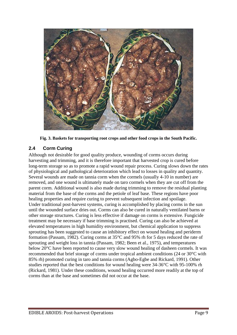

**Fig. 3. Baskets for transporting root crops and other food crops in the South Pacific.**

## <span id="page-9-0"></span>**2.4 Corm Curing**

Although not desirable for good quality produce, wounding of corms occurs during harvesting and trimming, and it is therefore important that harvested crop is cured before long-term storage so as to promote a rapid wound repair process. Curing slows down the rates of physiological and pathological deterioration which lead to losses in quality and quantity. Several wounds are made on tannia corm when the cormels (usually 4-10 in number) are removed, and one wound is ultimately made on taro cormels when they are cut off from the parent corm. Additional wound is also made during trimming to remove the residual planting material from the base of the corms and the petiole of leaf base. These regions have poor healing properties and require curing to prevent subsequent infection and spoilage. Under traditional post-harvest systems, curing is accomplished by placing corms in the sun until the wounded surface dries out. Corms can also be cured in naturally ventilated barns or other storage structures. Curing is less effective if damage on corms is extensive. Fungicide treatment may be necessary if base trimming is practised. Curing can also be achieved at elevated temperatures in high humidity environment, but chemical application to suppress sprouting has been suggested to cause an inhibitory effect on wound healing and periderm formation (Passam, 1982). Curing corms at 35°C and 95% rh for 5 days reduced the rate of sprouting and weight loss in tannia (Passam, 1982; Been et al., 1975), and temperatures below 20°C have been reported to cause very slow wound healing of dasheen cormels. It was recommended that brief storage of corms under tropical ambient conditions (24 or 30°C with 85% rh) promoted curing in taro and tannia corms (Agbo-Egbe and Rickard, 1991). Other studies reported that the best conditions for wound healing were 34-36°C with 95-100% rh (Rickard, 1981). Under these conditions, wound healing occurred more readily at the top of corms than at the base and sometimes did not occur at the base.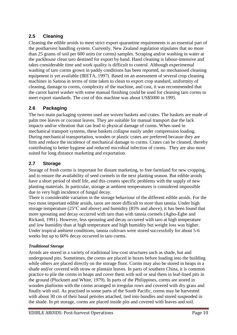## <span id="page-10-0"></span>**2.5 Cleaning**

Cleaning the edible aroids to meet strict export quarantine requirements is an essential part of the postharvest handling system. Currently, New Zealand regulation stipulates that no more than 25 grams of soil per 600 units (or corms) samples. Scraping and/or washing in water at the packhouse clean taro destined for export by hand. Hand cleaning is labour-intensive and takes considerable time and work quality is difficult to control. Although experimental washing of taro corms grown in paddy conditions has been reported, no mechanised cleaning equipment is yet available (IRETA, 1997). Based on an assessment of several crop cleaning machines in Samoa in terms of time taken to clean to export crop standard, uniformity of cleaning, damage to corms, complexity of the machine, and cost, it was recommended that the carrot barrel washer with some manual finishing could be used for cleaning taro corms to meet export standards. The cost of this machine was about US\$5000 in 1995.

## <span id="page-10-1"></span>**2.6 Packaging**

The two main packaging systems used are woven baskets and crates. The baskets are made of palm tree leaves or coconut leaves. They are suitable for manual transport due the lack impacts and/or vibration that can lead to physical damage of corms. When used in mechanical transport systems, these baskets collapse easily under compression loading. During mechanical transportation, wooden or plastic crates are preferred because they are firm and reduce the incidence of mechanical damage to corms. Crates can be cleaned, thereby contributing to better hygiene and reduced microbial infection of corms. They are also most suited for long distance marketing and exportation.

## <span id="page-10-2"></span>**2.7 Storage**

Storage of fresh corms is important for distant marketing, to free farmland for new cropping, and to ensure the availability of seed cormels in the next planting season. But edible aroids have a short period of shelf life, and this creates specific problems with the supply of new planting materials. In particular, storage at ambient temperatures is considered impossible due to very high incidence of fungal decay.

There is considerable variation in the storage behaviour of the different edible aroids. For the two most important edible aroids, taros are more difficult to store than tannia. Under high storage temperature (25°C and above) and humidity (85% and above), it has been found that more sprouting and decay occurred with taro than with tannia cormels (Agbo-Egbe and Rickard, 1991). However, less sprouting and decay occurred with taro at high temperature and low humidity than at high temperature and high humidity but weight loss was higher. Under tropical ambient conditions, tannia cultivars were stored successfully for about 5-6 weeks but up to 60% decay occurred in taro corms.

#### *Traditional Storage*

Aroids are stored in a variety of traditional low-cost structures such as shade, hut and underground pits. Sometimes, the corms are placed in boxes before loading into the building while others are placed directly on the storage floor. Corms may also be stored in heaps in a shade and/or covered with straw or plantain leaves. In parts of southern China, it is common practice to pile the corms in heaps and cover them with soil or seal them in leaf-lined pits in the ground (Plucknett and White, 1979). In parts of the Philippines, corms are stored in wooden platforms with the corms arranged in irregular rows and covered with dry grass and finally with soil. As practised in some parts of the South Pacific, corms may be harvested with about 30 cm of their basal petioles attached, tied into bundles and stored suspended in the shade. In pit storage, corms are placed inside pits and covered with leaves and soil.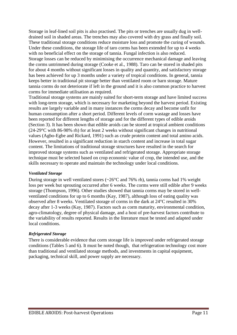Storage in leaf-lined soil pits is also practised. The pits or trenches are usually dug in welldrained soil in shaded areas. The trenches may also covered with dry grass and finally soil. These traditional storage conditions reduce moisture loss and promote the curing of wounds. Under these conditions, the storage life of taro corms has been extended for up to 4 weeks with no beneficial effect on the storage of tannia. Fungal infection is also reduced. Storage losses can be reduced by minimising the occurrence mechanical damage and leaving the corms untrimmed during storage (Cooke et al., 1988). Taro can be stored in shaded pits for about 4 months without significant losses in quality and quantity, and satisfactory storage has been achieved for up 3 months under a variety of tropical conditions. In general, tannia keeps better in traditional pit storage better than ventilated room or barn storage. Mature tannia corms do not deteriorate if left in the ground and it is also common practice to harvest corms for immediate utilisation as required.

Traditional storage systems are mainly suited for short-term storage and have limited success with long-term storage, which is necessary for marketing beyond the harvest period. Existing results are largely variable and in many instances the corms decay and become unfit for human consumption after a short period. Different levels of corm wastage and losses have been reported for different lengths of storage and for the different types of edible aroids (Section 3). It has been shown that edible aroids can be stored at tropical ambient conditions (24-29°C with 86-98% rh) for at least 2 weeks without significant changes in nutritional values (Agbo-Egbe and Rickard, 1991) such as crude protein content and total amino acids. However, resulted in a significant reduction in starch content and increase in total sugar content. The limitations of traditional storage structures have resulted in the search for improved storage systems such as ventilated and refrigerated storage. Appropriate storage technique must be selected based on crop economic value of crop, the intended use, and the skills necessary to operate and maintain the technology under local conditions.

#### *Ventilated Storage*

During storage in well ventilated stores (~26°C and 76% rh), tannia corms had 1% weight loss per week but sprouting occurred after 6 weeks. The corms were still edible after 9 weeks storage (Thompson, 1996). Other studies showed that tannia corms may be stored in wellventilated conditions for up to 6 months (Kay, 1987), although loss of eating quality was observed after 8 weeks. Ventilated storage of corms in the dark at 24°C resulted in 30% decay after 1-3 weeks (Kay, 1987). Factors such as corm maturity, environmental condition, agro-climatology, degree of physical damage, and a host of pre-harvest factors contribute to the variability of results reported. Results in the literature must be tested and adapted under local conditions.

#### *Refrigerated Storage*

There is considerable evidence that corm storage life is improved under refrigerated storage conditions (Tables 5 and 6). It must be noted though, that refrigeration technology cost more than traditional and ventilated storage methods, and investments in capital equipment, packaging, technical skill, and power supply are necessary.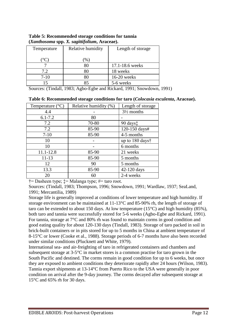| Temperature | Relative humidity | Length of storage |
|-------------|-------------------|-------------------|
|             | $\%$              |                   |
|             | 80                | 17.1-18.6 weeks   |
| 7.2         | 80                | 18 weeks          |
| $7 - 10$    |                   | 16-20 weeks       |
|             | Qς                | 5-6 weeks         |

**Table 5: Recommended storage conditions for tannia (***Xanthosoma* **spp.** *X. sagittifolium***, Araceae).**

Sources: (Tindall, 1983; Agbo-Egbe and Rickard, 1991; Snowdown, 1991)

| Relative humidity (%)<br>Length of storage<br>Temperature $(^{\circ}C)$<br>4.4<br>$3\frac{1}{2}$ months |  |
|---------------------------------------------------------------------------------------------------------|--|
|                                                                                                         |  |
|                                                                                                         |  |
| $6.1 - 7.2$<br>80                                                                                       |  |
| 70-80<br>$90 \text{ days}$<br>7.2                                                                       |  |
| 120-150 days#<br>7.2<br>85-90                                                                           |  |
| 85-90<br>$7 - 10$<br>4-5 months                                                                         |  |
| up to 180 days <sup>†</sup><br>10                                                                       |  |
| 10<br>6 months                                                                                          |  |
| 11.1-12.8<br>85-90<br>21 weeks                                                                          |  |
| 85-90<br>$11 - 13$<br>5 months                                                                          |  |
| 12<br>5 months<br>90                                                                                    |  |
| 13.3<br>85-90<br>42-120 days                                                                            |  |
| 2-4 weeks<br>20<br>60                                                                                   |  |

**Table 6: Recommended storage conditions for taro (***Colocasia esculenta***, Araceae).**

 $\dagger$ = Dasheen type;  $\dagger$ = Malanga type; #= taro root.

Sources: (Tindall, 1983; Thompson, 1996; Snowdown, 1991; Wardlaw, 1937; SeaLand, 1991; Mercantilia, 1989)

Storage life is generally improved at conditions of lower temperature and high humidity. If storage environment can be maintained at 11-13°C and 85-90% rh, the length of storage of taro can be extended to about 150 days. At low temperature  $(15^{\circ}C)$  and high humidity (85%), both taro and tannia were successfully stored for 5-6 weeks (Agbo-Egbe and Rickard, 1991). For tannia, storage at 7°C and 80% rh was found to maintain corms in good condition and good eating quality for about 120-130 days (Tindall, 1983). Storage of taro packed in soil in brick-built containers or in pits stored for up to 5 months in China at ambient temperature of 8-15°C or lower (Cooke et al., 1988). Storage periods of 6-7 months have also been recorded under similar conditions (Plucknett and White, 1979).

International sea- and air-freighting of taro in refrigerated containers and chambers and subsequent storage at 3-5°C in market stores is a common practise for taro grown in the South Pacific and destined. The corms remain in good condition for up to 6 weeks, but once they are exposed to ambient conditions they deteriorate rapidly after 24 hours (Wilson, 1983). Tannia export shipments at 13-14°C from Puerto Rico to the USA were generally in poor condition on arrival after the 9-day journey. The corms decayed after subsequent storage at 15°C and 65% rh for 30 days.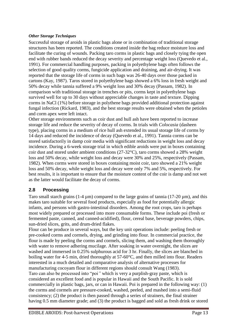#### *Other Storage Techniques*

Successful storage of aroids in plastic bags alone or in combination of traditional storage structures has been reported. The conditions created inside the bag reduce moisture loss and facilitate the curing of wounds. Packing taro corms in plastic bags and closely tying the open end with rubber bands reduced the decay severity and percentage weight loss (Quevedo et al., 1991). For commercial handling purposes, packing in polyethylene bags often follows the selection of good quality corms, fungicide application and draining, and air-drying. It was reported that the storage life of corms in such bags was 26-40 days over those packed in cartons (Kay, 1987). Taros stored in polyethylene bags showed a 6% loss in fresh weight and 50% decay while tannia suffered a 9% weight loss and 30% decay (Passam, 1982). In comparison with traditional storage in trenches or pits, corms kept in polyethylene bags survived well for up to 30 days without appreciable changes in taste and texture. Dipping corms in NaCl (1%) before storage in polythene bags provided additional protection against fungal infection (Rickard, 1983), and the best storage results were obtained when the petioles and corm apex were left intact.

Other storage environments such as coir dust and hull ash have been reported to increase storage life and reduce the severity of decay of corms. In trials with *Colocasia* (dasheen type), placing corms in a medium of rice hull ash extended its usual storage life of corms by 14 days and reduced the incidence of decay (Quevedo et al., 1991). Tannia corms can be stored satisfactorily in damp coir media with significant reductions in weight loss and decay incidence. During a 6-week storage trial in which edible aroids were put in boxes containing coir dust and stored under ambient conditions (27-32°C), taro corms showed a 28% weight loss and 50% decay, while weight loss and decay were 30% and 25%, respectively (Passam, 1982). When corms were stored in boxes containing moist coir, taro showed a 21% weight loss and 50% decay, while weight loss and decay were only 7% and 5%, respectively. For best results, it is important to ensure that the moisture content of the coir is damp and not wet as the latter would facilitate the decay of corms.

#### <span id="page-13-0"></span>**2.8 Processing**

Taro small starch grains (1-4  $\mu$ m) compared to the large grains of tannia (17-20  $\mu$ m), and this makes taro suitable for several food products, especially as food for potentially allergic infants, and persons with gastro-intestinal disorders. Among the root crops, taro is perhaps most widely prepared or processed into more consumable forms. These include poi (fresh or fermented paste, canned, and canned-acidified), flour, cereal base, beverage powders, chips, sun-dried slices, grits, and drum-dried flakes.

Flour can be produce in several ways, but the key unit operations include: peeling fresh or pre-cooked corms and cormels, drying, and grinding into flour. In commercial practice, the flour is made by peeling the corms and cormels, slicing them, and washing them thoroughly with water to remove adhering mucilage. After soaking in water overnight, the slices are washed and immersed in 0.25% sulphurous acid for 3 hr. Finally, the slices are blanched in boiling water for 4-5 min, dried thoroughly at 57-60°C, and then milled into flour. Readers interested in a much detailed and comparative analysis of alternative processes for manufacturing cocoyam flour in different regions should consult Wang (1983). Taro can also be processed into "poi*"* which is very a purplish-gray paste, which is considered an excellent food and is popular in Hawaii and the South Pacific. It is sold commercially in plastic bags, jars, or can in Hawaii. Poi is prepared in the following way: (1) the corms and cormels are pressure-cooked, washed, peeled, and mashed into a semi-fluid consistency; (2) the product is then passed through a series of strainers, the final strainer having 0.5 mm diameter grade; and (3) the product is bagged and sold as fresh drink or stored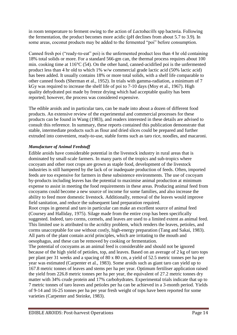in room temperature to ferment owing to the action of *Lactobacills* spp bacteria. Following the fermentation, the product becomes more acidic (pH declines from about 5.7 to 3.9). In some areas, coconut products may be added to the fermented "poi" before consumption.

Canned fresh poi ("ready-to-eat" poi) is the unfermented product less than 4 hr old containing 18% total solids or more. For a standard 566-gm can, the thermal process requires about 100 min. cooking time at 116°C (54). On the other hand, canned-acidified poi is the unfermented product less than 4 hr old to which 1% w/w commercial grade lactic acid (50% lactic acid) has been added. It usually contains 18% or more total solids, with a shelf life comparable to other canned foods (Sherman et al., 1952). In trials with gamma-radiation, a minimum of 7 kGy was required to increase the shelf life of poi to 7-10 days (Moy et al., 1967). High quality dehydrated poi made by freeze drying which had acceptable quality has been reported; however, the process was considered expensive.

The edible aroids and in particular taro, can be made into about a dozen of different food products. An extensive review of the experimental and commercial processes for these products can be found in Wang (1983), and readers interested in these details are advised to consult this reference. In summary, these reports contained this publication demonstrate that stable, intermediate products such as flour and dried slices could be prepared and further extruded into convenient, ready-to-use, stable forms such as taro rice, noodles, and macaroni.

#### *Manufacture of Animal Feedstuff*

Edible aroids have considerable potential in the livestock industry in rural areas that is dominated by small-scale farmers. In many parts of the tropics and sub-tropics where cocoyam and other root crops are grown as staple food, development of the livestock industries is still hampered by the lack of or inadequate production of feeds. Often, imported feeds are too expensive for farmers in these subsistence environments. The use of cocoyam by-products including leaves has the potential to maximise animal production at minimum expense to assist in meeting the food requirements in these areas. Producing animal feed from cocoyams could become a new source of income for some families, and also increase the ability to feed more domestic livestock. Additionally, removal of the leaves would improve field sanitation, and reduce the subsequent land preparation required.

Root crops in general and taro in particular can make an excellent source of animal feed (Coursey and Halliday, 1975). Silage made from the entire crop has been specifically suggested. Indeed, taro corms, cormels, and leaves are used to a limited extent as animal feed. This limited use is attributed to the acridity problem, which renders the leaves, petioles, and corms unacceptable for use without costly, high-energy preparation (Tang and Sakai, 1983). All parts of the plant contain acrid principles, which are irritating to the mouth and oesophagus, and these can be removed by cooking or fermentation.

The potential of cocoyams as an animal feed is considerable and should not be ignored because of the high yield of petioles, top, and leaves. Based on an average of 2 kg of taro tops per plant per 31 weeks and a spacing of 80 x 80 cm, a yield of 52.5 metric tonnes per ha per year was estimated (Carpenter et al., 1983). Some aroids such as giant taro can yield up to 167.8 metric tonnes of leaves and stems per ha per year. Optimum fertiliser application raised the yield from 226.8 metric tonnes per ha per year, the equivalent of 27.2 metric tonnes dry matter with 34% crude protein and 17% carbohydrates. Experimental trials indicate that up to 7 metric tonnes of taro leaves and petioles per ha can be achieved in a 3-month period. Yields of 9-14 and 16-25 tonnes per ha per year fresh weight of tops have been reported for some varieties (Carpenter and Steinke, 1983).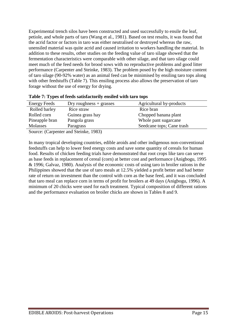Experimental trench silos have been constructed and used successfully to ensile the leaf, petiole, and whole parts of taro (Wang et al., 1981). Based on test results, it was found that the acrid factor or factors in taro was either neutralised or destroyed whereas the raw, unensiled material was quite acrid and caused irritation to workers handling the material. In addition to these results, other studies on the feeding value of taro silage showed that the fermentation characteristics were comparable with other silage, and that taro silage could meet much of the feed needs for brood sows with no reproductive problems and good litter performance (Carpenter and Steinke, 1983). The problem posed by the high moisture content of taro silage (90-92% water) as an animal feed can be minimised by ensiling taro tops along with other feedstuffs (Table 7). This ensiling process also allows the preservation of taro forage without the use of energy for drying.

| <b>Energy Feeds</b> | Dry roughness $+$ grasses                                                                                                                 | Agricultural by-products  |  |
|---------------------|-------------------------------------------------------------------------------------------------------------------------------------------|---------------------------|--|
| Rolled barley       | Rice straw                                                                                                                                | Rice bran                 |  |
| Rolled corn         | Guinea grass hay                                                                                                                          | Chopped banana plant      |  |
| Pineapple bran      | Pangola grass                                                                                                                             | Whole pant sugarcane      |  |
| Molasses            | Paragrass                                                                                                                                 | Seedcane tops; Cane trash |  |
|                     | $\Omega$ = = = = = $(\Omega$ = = = = + = = = = $\frac{1}{2}$ $\Omega$ + = $\frac{1}{2}$ = $\frac{1}{2}$ = $\frac{1}{2}$ $\Omega$ $\Omega$ |                           |  |

|  | Table 7: Types of feeds satisfactorily ensiled with taro tops |  |  |
|--|---------------------------------------------------------------|--|--|
|  |                                                               |  |  |

Source: (Carpenter and Steinke, 1983)

In many tropical developing countries, edible aroids and other indigenous non-conventional feedstuffs can help to lower feed energy costs and save some quantity of cereals for human food. Results of chicken feeding trials have demonstrated that root crops like taro can serve as base feeds in replacement of cereal (corn) at better cost and performance (Anigbogu, 1995 & 1996; Galvaz, 1980). Analysis of the economic costs of using taro in broiler rations in the Philippines showed that the use of taro meals at 12.5% yielded a profit better and had better rate of return on investment than the control with corn as the base feed, and it was concluded that taro meal can replace corn in terms of profit for broilers at 49 days (Anigbogu, 1996). A minimum of 20 chicks were used for each treatment. Typical composition of different rations and the performance evaluation on broiler chicks are shown in Tables 8 and 9.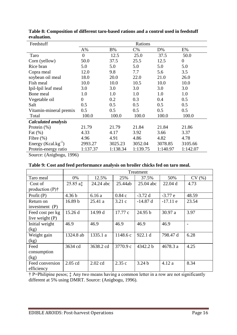| Feedstuff                  | Rations          |           |          |          |                  |  |
|----------------------------|------------------|-----------|----------|----------|------------------|--|
|                            | $A\%$            | <b>B%</b> | $C\%$    | $D\%$    | E%               |  |
| Taro                       | $\boldsymbol{0}$ | 12.5      | 25.0     | 37.5     | 50.0             |  |
| Corn (yellow)              | 50.0             | 37.5      | 25.5     | 12.5     | $\boldsymbol{0}$ |  |
| Rice bran                  | 5.0              | 5.0       | 5.0      | 5.0      | 5.0              |  |
| Copra meal                 | 12.0             | 9.8       | 7.7      | 5.6      | 3.5              |  |
| soybean oil meal           | 18.0             | 20.0      | 22.0     | 21.0     | 26.0             |  |
| Fish meal                  | 10.0             | 10.0      | 10.5     | 10.0     | 10.0             |  |
| Ipil-Ipil leaf meal        | 3.0              | 3.0       | 3.0      | 3.0      | 3.0              |  |
| Bone meal                  | 1.0              | 1.0       | 1.0      | 1.0      | 1.0              |  |
| Vegetable oil              | $\overline{0}$   | 0.2       | 0.3      | 0.4      | 0.5              |  |
| Salt                       | 0.5              | 0.5       | 0.5      | 0.5      | 0.5              |  |
| Vitamin-mineral premix     | 0.5              | 0.5       | 0.5      | 0.5      | 0.5              |  |
| Total                      | 100.0            | 100.0     | 100.0    | 100.0    | 100.0            |  |
| <b>Calculated analysis</b> |                  |           |          |          |                  |  |
| Protein $(\%)$             | 21.79            | 21.79     | 21.84    | 21.84    | 21.86            |  |
| Fat $(\%)$                 | 4.33             | 4.17      | 3.92     | 3.66     | 3.37             |  |
| Fibre $(\%)$               | 4.96             | 4.91      | 4.86     | 4.82     | 4.78             |  |
| Energy $(Kcal.kg^{-1})$    | 2993.27          | 3025.23   | 3052.04  | 3078.85  | 3105.66          |  |
| Protein-energy ratio       | 1:137.37         | 1:138.34  | 1:139.75 | 1:140.97 | 1:142.07         |  |

**Table 8: Composition of different taro-based rations and a control used in feedstuff evaluation.**

Source: (Anigbogu, 1996)

|                                                  | Treatment          |           |          |                   |            |       |
|--------------------------------------------------|--------------------|-----------|----------|-------------------|------------|-------|
| Taro meal                                        | 0%                 | 12.5%     | 25%      | 37.5%             | 50%        | CV(%) |
| Cost of                                          | 25.85 at           | 24.24 abc | 25.44ab  | $25.04$ abc       | 22.04 d    | 4.73  |
| production $(P)$ <sup><math>\dagger</math></sup> |                    |           |          |                   |            |       |
| Profit $(P)$                                     | 4.36 <sub>b</sub>  | 6.16a     | 0.84c    | $-3.72d$          | $-3.77e$   | 48.59 |
| Return on                                        | 16.89 <sub>b</sub> | 25.41a    | 3.21c    | $-14.87$ d        | $-17.11$ e | 23.54 |
| investment $(P)$                                 |                    |           |          |                   |            |       |
| Feed cost per kg                                 | 15.26 d            | 14.99 d   | 17.77 c  | 24.95 b           | 30.97a     | 3.97  |
| live weight $(P)$                                |                    |           |          |                   |            |       |
| Initial weight                                   | 46.9               | 46.9      | 46.9     | 46.9              | 46.9       |       |
| (kg)                                             |                    |           |          |                   |            |       |
| Weight gain                                      | 1324.8 ab          | 1335.1 a  | 1148.6c  | 922.1 d           | 798.47 d   | 6.28  |
| (kg)                                             |                    |           |          |                   |            |       |
| Feed                                             | 3634 cd            | 3638.2 cd | 3770.9 c | 4342.2 b          | 4678.3 a   | 4.25  |
| consumption                                      |                    |           |          |                   |            |       |
| (kg)                                             |                    |           |          |                   |            |       |
| Feed conversion                                  | 2.05 cd            | $2.02$ cd | 2.35c    | 3.24 <sub>b</sub> | 4.12a      | 8.34  |
| efficiency                                       |                    |           |          |                   |            |       |

† P=Philipine pesos; ‡ Any two means having a common letter in a row are not significantly different at 5% using DMRT. Source: (Anigbogu, 1996).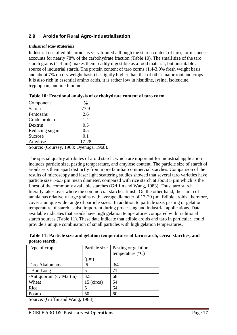## <span id="page-17-0"></span>**2.9 Aroids for Rural Agro-Industrialisation**

#### *Industrial Raw Materials*

Industrial use of edible aroids is very limited although the starch content of taro, for instance, accounts for nearly 78% of the carbohydrate fraction (Table 10). The small size of the taro starch grains (1-4 µm) makes them readily digestible as a food material, but unsuitable as a source of industrial starch. The protein content of taro corms (1.4-3.0% fresh weight basis and about 7% on dry weight basis) is slightly higher than that of other major root and crops. It is also rich in essential amino acids, it is rather low in histidine, lysine, isoleucine, tryptophan, and methionine.

| Component       | $\frac{0}{0}$ |  |
|-----------------|---------------|--|
| <b>Starch</b>   | 77.9          |  |
| Pentosans       | 2.6           |  |
| Crude protein   | 1.4           |  |
| Dextrin         | 0.5           |  |
| Reducing sugars | 0.5           |  |
| Sucrose         | 0.1           |  |
| Amylose         | 17-28         |  |
|                 |               |  |

| Table 10: Fractional analysis of carbohydrate content of taro corm. |  |  |
|---------------------------------------------------------------------|--|--|

Source: (Coursey, 1968; Oyenuga, 1968).

The special quality attributes of aroid starch, which are important for industrial application includes particle size, pasting temperature, and amylose content. The particle size of starch of aroids sets them apart distinctly from more familiar commercial starches. Comparison of the results of microscopy and laser light scattering studies showed that several taro varieties have particle size 1-6.5 µm mean diameter, compared with rice starch at about 5 µm which is the finest of the commonly available starches (Griffin and Wang, 1983). Thus, taro starch literally takes over where the commercial starches finish. On the other hand, the starch of tannia has relatively large grains with average diameter of 17-20 µm. Edible aroids, therefore, cover a unique wide range of particle sizes. In addition to particle size, pasting or gelation temperature of starch is also important during processing and industrial applications. Data available indicates that aroids have high gelation temperatures compared with traditional starch sources (Table 11). These data indicate that edible aroids and taro in particular, could provide a unique combination of small particles with high gelation temperatures.

**Table 11: Particle size and gelation temperatures of taro starch, cereal starches, and potato starch.**

| Type of crop            | Particle size | Pasting or gelation       |
|-------------------------|---------------|---------------------------|
|                         |               | temperature $(^{\circ}C)$ |
|                         | $(\mu m)$     |                           |
| Taro-Akalomama          | 6             | 64                        |
| -Bun-Long               |               | 71                        |
| -Antiquorum (cv Martin) | 3.5           | 68                        |
| Wheat                   | 15 (circa)    | 54                        |
| Rice                    |               | 64                        |
| Potato                  | 50            | 60                        |

Source: (Griffin and Wang, 1983).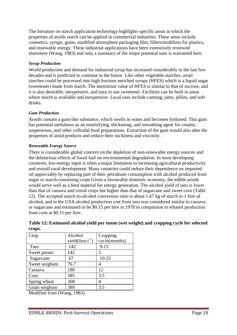The literature on starch application technology highlights specific areas in which the properties of aroids starch can be applied in commercial industries. These areas include cosmetics, syrups, gums, modified atmosphere packaging film, fillers/modifiers for plastics, and renewable energy. These industrial applications have been extensively reviewed elsewhere (Wang, 1983) and only a summary of the major potential uses is warranted here.

#### *Syrup Production*

World production and demand for industrial syrup has increased considerably in the last few decades and is predicted to continue in the future. Like other vegetable starches, aroid starches could be processed into high fructose enriched syrups (HFES) which is a liquid sugar (sweetener) made from starch. The nutritional value of HFES is similar to that of sucrose, and it is also desirable, inexpensive, and easy to use sweetener. Facilities can be built in areas where starch is available and inexpensive. Local uses include canning, jams, jellies, and soft drinks.

#### *Gum Production*

Aroids contain a gum-like substance, which swells in water and becomes hydrated. This gum has potential usefulness as an emulsifying, thickening, and smoothing agent for creams, suspensions, and other colloidal food preparations. Extraction of the gum would also alter the properties of aroid products and reduce their stickiness and viscosity.

#### *Renewable Energy Source*

There is considerable global concern on the depletion of non-renewable energy sources and the deleterious effects of fossil fuel on environmental degradation. In most developing countries, low-energy input is often a major limitation to increasing agricultural productivity and overall rural development. Many countries could reduce their dependence on imported oil appreciably by replacing part of their petroleum consumption with alcohol produced from sugar or starch-containing crops Given a favourable domestic economy, the edible aroids would serve well as a feed material for energy generation. The alcohol yield of taro is lower than that of cassava and cereal crops but higher than that of sugarcane and sweet corn (Table 12). The accepted starch-to-alcohol conversion ratio is about 1.67 kg of starch to 1 litre of alcohol, and in the USA alcohol production cost from taro was considered similar to cassava or sugarcane and estimated to be \$0.15 per litre in 1978 in comparison to ethanol production from corn at \$0.11 per litre.

| Crop                                                                                                  | Alcohol                 | Cropping      |
|-------------------------------------------------------------------------------------------------------|-------------------------|---------------|
|                                                                                                       | yield( $litre.t^{-1}$ ) | cycle(months) |
| Taro                                                                                                  | 142                     | $9 - 15$      |
| Sweet potato                                                                                          | 142                     |               |
| Sugarcane                                                                                             | 67                      | $10 - 22$     |
| Sweet sorghum                                                                                         | 76.7                    |               |
| Cassava                                                                                               | 180                     | 12            |
| Corn                                                                                                  | 385                     | 3.5           |
| Spring wheat                                                                                          | 368                     | 4             |
| Grain sorghum                                                                                         | 389                     | 3.5           |
| $\mathbf{1} \mathbf{r}$ $\mathbf{1} \mathbf{r}$ $\mathbf{r}$ $\mathbf{r}$ $\mathbf{r}$<br>$T$ $T$ $T$ | 1000                    |               |

#### **Table 12: Estimated alcohol yield per tonne (wet weight) and cropping cycle for selected crops.**

Modified from (Wang, 1983).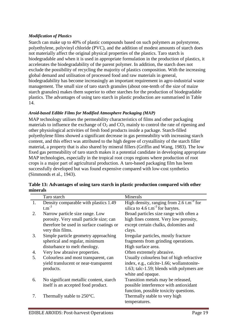#### *Modification of Plastics*

Starch can make up to 40% of plastic compounds based on such polymers as polystyrene, polyethylene, polyvinyl chloride (PVC), and the addition of modest amounts of starch does not materially affect the original physical properties of the plastics. Taro starch is biodegradable and when it is used in appropriate formulation in the production of plastics, it accelerates the biodegradability of the parent polymer. In addition, the starch does not exclude the possibility of recycling the majority of plastics composition. With the increasing global demand and utilisation of processed food and raw materials in general, biodegradability has become increasingly an important requirement in agro-industrial waste management. The small size of taro starch granules (about one-tenth of the size of maize starch granules) makes them superior to other starches for the production of biodegradable plastics. The advantages of using taro starch in plastic production are summarised in Table 14.

#### *Aroid-based Edible Films for Modified Atmosphere Packaging (MAP)*

MAP technology utilises the permeability characteristics of films and other packaging materials to influence the exchange of  $O_2$  and  $CO_2$  mainly to control the rate of ripening and other physiological activities of fresh food products inside a package. Starch-filled polyethylene films showed a significant decrease in gas permeability with increasing starch content, and this effect was attributed to the high degree of crystallinity of the starch filler material, a property that is also shared by mineral fillers (Griffin and Wang, 1983). The low fixed gas permeability of taro starch makes it a potential candidate in developing appropriate MAP technologies, especially in the tropical root crops regions where production of root crops is a major part of agricultural production. A taro-based packaging film has been successfully developed but was found expensive compared with low-cost synthetics (Simmonds et al., 1943).

|    | Taro starch                              | Minerals                                              |
|----|------------------------------------------|-------------------------------------------------------|
| 1. | Density comparable with plastics 1.49    | High density, ranging from $2.6 \text{ t.m}^{-3}$ for |
|    | $t.m^{-3}$                               | silica to $4.6$ t.m <sup>-3</sup> for barytes.        |
| 2. | Narrow particle size range. Low          | Broad particles size range with often a               |
|    | porosity. Very small particle size; can  | high fines content. Very low porosity,                |
|    | therefore be used in surface coatings or | except certain chalks, dolomites and                  |
|    | very thin films.                         | clays.                                                |
| 3. | Simple particle geometry approaching     | Irregular particles, mostly fracture                  |
|    | spherical and regular, minimum           | fragments from grinding operations.                   |
|    | disturbance to melt rheology.            | High surface area.                                    |
| 4. | Very low abrasive properties.            | Often extremely abrasive.                             |
| 5. | Colourless and most transparent, can     | Usually colourless but of high refractive             |
|    | yield translucent or near-transparent    | index, e.g., calcite-1.66; wollanstonite-             |
|    | products.                                | 1.63; talc-1.59; blends with polymers are             |
|    |                                          | white and opaque.                                     |
| 6. | No significant metallic content, starch  | Transition metals may be released,                    |
|    | itself is an accepted food product.      | possible interference with antioxidant                |
|    |                                          | function, possible toxicity questions.                |
| 7. | Thermally stable to 250°C.               | Thermally stable to very high                         |
|    |                                          | temperatures.                                         |

**Table 13: Advantages of using taro starch in plastic production compared with other minerals**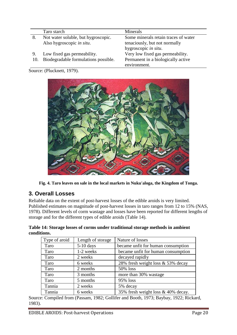Taro starch Minerals

|     | Taro starch                          | <b>Millerals</b>                     |
|-----|--------------------------------------|--------------------------------------|
| 8.  | Not water soluble, but hygroscopic.  | Some minerals retain traces of water |
|     | Also hygroscopic in situ.            | tenaciously, but not normally        |
|     |                                      | hygroscopic in situ.                 |
| 9.  | Low fixed gas permeability.          | Very low fixed gas permeability.     |
| 10. | Biodegradable formulations possible. | Permanent in a biologically active   |
|     |                                      | environment.                         |

Source: (Plucknett, 1979).



**Fig. 4. Taro leaves on sale in the local markets in Nuku'aloga, the Kingdom of Tonga.**

## <span id="page-20-0"></span>**3. Overall Losses**

Reliable data on the extent of post-harvest losses of the edible aroids is very limited. Published estimates on magnitude of post-harvest losses in taro ranges from 12 to 15% (NAS, 1978). Different levels of corm wastage and losses have been reported for different lengths of storage and for the different types of edible aroids (Table 14).

|             |  | Table 14: Storage losses of corms under traditional storage methods in ambient |  |
|-------------|--|--------------------------------------------------------------------------------|--|
| conditions. |  |                                                                                |  |

| Type of aroid | Length of storage | Nature of losses                   |
|---------------|-------------------|------------------------------------|
| Taro          | $5-10$ days       | became unfit for human consumption |
| Taro          | 1-2 weeks         | became unfit for human consumption |
| Taro          | 2 weeks           | decayed rapidly                    |
| Taro          | 6 weeks           | 28% fresh weight loss & 53% decay  |
| Taro          | 2 months          | 50% loss                           |
| Taro          | 3 months          | more than 30% wastage              |
| Taro          | 5 months          | 95% loss                           |
| Tannia        | 2 weeks           | 5% decay                           |
| Tannia        | 6 weeks           | 35% fresh weight loss & 40% decay. |

Source: Compiled from (Passam, 1982; Gollifer and Booth, 1973; Baybay, 1922; Rickard, 1983).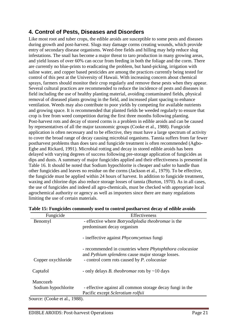## <span id="page-21-0"></span>**4. Control of Pests, Diseases and Disorders**

Like most root and tuber crops, the edible aroids are susceptible to some pests and diseases during growth and post-harvest. Slugs may damage corms creating wounds, which provide entry of secondary disease organisms. Weed-free fields and hilling may help reduce slug infestations. The snail has become a major threat to taro production in many growing areas, and yield losses of over 60% can occur from feeding in both the foliage and the corm. There are currently no blue-prints to eradicating the problem, but hand-picking, irrigation with saline water, and copper based pesticides are among the practices currently being tested for control of this pest at the University of Hawaii. With increasing concern about chemical sprays, farmers should monitor their crop regularly and remove these pests when they appear. Several cultural practices are recommended to reduce the incidence of pests and diseases in field including the use of healthy planting material, avoiding contaminated fields, physical removal of diseased plants growing in the field, and increased plant spacing to enhance ventilation. Weeds may also contribute to poor yields by competing for available nutrients and growing space. It is recommended that planted fields be weeded regularly to ensure that crop is free from weed competition during the first three months following planting. Post-harvest rots and decay of stored corms is a problem in edible aroids and can be caused by representatives of all the major taxonomic groups (Cooke et al., 1988). Fungicide application is often necessary and to be effective, they must have a large spectrum of activity to cover the broad range of decay causing microbial organisms. Tannia suffers from far fewer postharvest problems than does taro and fungicide treatment is often recommended (Agbo-Egbe and Rickard, 1991). Microbial rotting and decay in stored edible aroids has been delayed with varying degrees of success following pre-storage application of fungicides as dips and dusts. A summary of major fungicides applied and their effectiveness is presented in Table 16. It should be noted that Sodium hypochlorite is cheaper and safer to handle than other fungicides and leaves no residue on the corms (Jackson et al., 1979). To be effective, the fungicide must be applied within 24 hours of harvest. In addition to fungicide treatment, waxing and chlorine dips also reduce storage losses of tannia (Burton, 1970). As in all cases, the use of fungicides and indeed all agro-chemicals, must be checked with appropriate local agrochemical authority or agency as well as importers since there are many regulations limiting the use of certain materials.

| Fungicide           | Effectiveness                                                                                           |
|---------------------|---------------------------------------------------------------------------------------------------------|
| Benomyl             | - effective where <i>Botryodiplodia theobromae</i> is the                                               |
|                     | predominant decay organism                                                                              |
|                     | - ineffective against <i>Phycomcyetous</i> fungi                                                        |
|                     | - recommended in countries where <i>Phytophthora colocasiae</i>                                         |
| Copper oxychloride  | and Pythium splendens cause major storage losses.<br>- control corm rots caused by <i>P. colocasiae</i> |
| Captafol            | - only delays <i>B. theobromae</i> rots by $\sim$ 10 days                                               |
| Mancozeb            |                                                                                                         |
| Sodium hypochlorite | - effective against all common storage decay fungi in the                                               |
|                     | Pacific except Sclerotium rolfsii                                                                       |

**Table 15: Fungicides commonly used to control postharvest decay of edible avoids**

Source: (Cooke et al., 1988).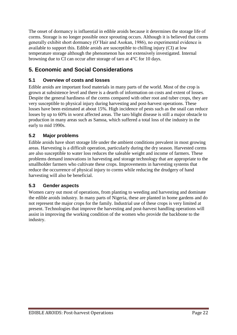The onset of dormancy is influential in edible aroids because it determines the storage life of corms. Storage is no longer possible once sprouting occurs. Although it is believed that corms generally exhibit short dormancy (O"Hair and Asokan, 1986), no experimental evidence is available to support this. Edible aroids are susceptible to chilling injury (CI) at low temperature storage although the phenomenon has not extensively investigated. Internal browning due to CI can occur after storage of taro at 4°C for 10 days.

## <span id="page-22-0"></span>**5. Economic and Social Considerations**

## <span id="page-22-1"></span>**5.1 Overview of costs and losses**

Edible aroids are important food materials in many parts of the world. Most of the crop is grown at subsistence level and there is a dearth of information on costs and extent of losses. Despite the general hardiness of the corms compared with other root and tuber crops, they are very susceptible to physical injury during harvesting and post-harvest operations. These losses have been estimated at about 15%. High incidence of pests such as the snail can reduce losses by up to 60% in worst affected areas. The taro blight disease is still a major obstacle to production in many areas such as Samoa, which suffered a total loss of the industry in the early to mid 1990s.

## <span id="page-22-2"></span>**5.2 Major problems**

Edible aroids have short storage life under the ambient conditions prevalent in most growing areas. Harvesting is a difficult operation, particularly during the dry season. Harvested corms are also susceptible to water loss reduces the saleable weight and income of farmers. These problems demand innovations in harvesting and storage technology that are appropriate to the smallholder farmers who cultivate these crops. Improvements in harvesting systems that reduce the occurrence of physical injury to corms while reducing the drudgery of hand harvesting will also be beneficial.

#### <span id="page-22-3"></span>**5.3 Gender aspects**

Women carry out most of operations, from planting to weeding and harvesting and dominate the edible aroids industry. In many parts of Nigeria, these are planted in home gardens and do not represent the major crops for the family. Industrial use of these crops is very limited at present. Technologies that improve the harvesting and post-harvest handling operations will assist in improving the working condition of the women who provide the backbone to the industry.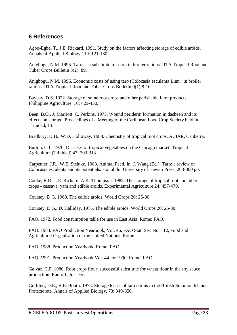## <span id="page-23-0"></span>**6 References**

Agbo-Egbe, T., J.E. Rickard. 1991. Study on the factors affecting storage of edible aroids. Annals of Applied Biology 119: 121-130.

Anigbogu, N.M. 1995. Taro as a substitute for corn in broiler rations. IITA Tropical Root and Tuber Crops Bulletin 8(2): 89.

Anigbogu, N.M. 1996. Economic costs of using taro (Colocasia esculenta Linn.) in broiler rations. IITA Tropical Root and Tuber Crops Bulletin 9(1):8-10.

Baybay, D.S. 1922. Storage of some root crops and other perishable farm products. Philippine Agriculture, 10: 429-430.

Been, B.O., J. Marriott, C. Perkins. 1975. Wound periderm formation in dasheen and its effects on storage. Proceedings of a Meeting of the Caribbean Food Crop Society held in Trinidad, 13.

Bradbury, D.H., W.D. Holloway. 1988. Chemistry of tropical root crops. ACIAR, Canberra.

Burton, C.L. 1970. Diseases of tropical vegetables on the Chicago market. Tropical Agriculture (Trinidad) 47: 303-313.

Carpenter, J.R., W.E. Steinke. 1983. Animal Feed. In: J. Wang (Ed.). Taro: a review of Colocasia esculenta and its potentials. Honolulu, University of Hawaii Press, 268-300 pp.

Cooke, R.D., J.E. Rickard, A.K. Thompson. 1988. The storage of tropical root and tuber crops - cassava, yam and edible aroids. Experimental Agriculture 24: 457-470.

Coursey, D.G. 1968. The edible aroids. World Crops 20: 25-30.

Coursey, D.G., D. Halliday. 1975. The edible aroids. World Crops 20: 25-30.

FAO. 1972. Food consumption table for use in East Asia. Rome: FAO.

FAO. 1983. FAO Production Yearbook, Vol. 46, FAO Stat. Ser. No. 112, Food and Agricultural Organisation of the United Nations, Rome.

FAO. 1988. Production Yearbook. Rome: FAO.

FAO. 1991. Production Yearbook Vol. 44 for 1990. Rome: FAO.

Galvaz, C.F. 1980. Root crops flour: successful substitute for wheat flour in the soy sauce production. Radix 1, Jul-Dec.

Gollifer,, D.E., R.E. Booth. 1973. Storage losses of taro corms in the British Solomon Islands Protectorate. Annals of Applied Biology, 73: 349-356.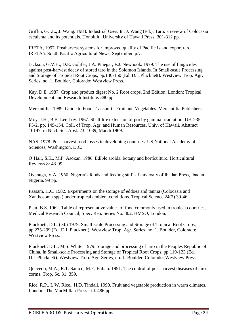Griffin, G.J.L., J. Wang. 1983. Industrial Uses. In: J. Wang (Ed.). Taro: a review of Colocasia esculenta and its potentials. Honolulu, University of Hawaii Press, 301-312 pp.

IRETA, 1997. Postharvest systems for improved quality of Pacific Island export taro. IRETA"s South Pacific Agricultural News, September. p.7.

Jackson, G.V.H., D.E. Golifer, J.A. Pinegar, F.J. Newhook. 1979. The use of fungicides against post-harvest decay of stored taro in the Solomon Islands. In Small-scale Processing and Storage of Tropical Root Crops, pp.130-150 (Ed. D.L.Plucknett). Westview Trop. Agr. Series, no. 1. Boulder, Colorado: Westview Press.

Kay, D.E. 1987. Crop and product digest No. 2 Root crops. 2nd Edition. London: Tropical Development and Research Institute. 380 pp.

Mercantilia. 1989. Guide to Food Transport - Fruit and Vegetables. Mercantilia Publishers.

Moy, J.H., B.B. Lee Loy. 1967. Shelf life extension of poi by gamma irradiation. UH-235- P5-2, pp. 149-154. Coll. of Trop. Agr. and Human Resources, Univ. of Hawaii. Abstract 10147, in Nucl. Sci. Abst. 23: 1039, March 1969.

NAS, 1978. Post-harvest food losses in developing countries. US National Academy of Sciences, Washington, D.C.

O"Hair, S.K., M.P. Asokan. 1986. Edible aroids: botany and horticulture. Horticultural Reviews 8: 43-99.

Oyenuga, V.A. 1968. Nigeria"s foods and feeding stuffs. University of Ibadan Press, Ibadan, Nigeria. 99 pp.

Passam, H.C. 1982. Experiments on the storage of eddoes and tannia (Colocasia and Xanthosoma spp.) under tropical ambient conditions. Tropical Science 24(2) 39-46.

Platt, B.S. 1962. Table of representative values of food commonly used in tropical countries, Medical Research Council, Spec. Rep. Series No. 302, HMSO, London.

Plucknett, D.L. (ed.) 1979. Small-scale Processing and Storage of Tropical Root Crops, pp.275-299 (Ed. D.L.Plucknett). Westview Trop. Agr. Series, no. 1. Boulder, Colorado: Westview Press.

Plucknett, D.L., M.S. White. 1979. Storage and processing of taro in the Peoples Republic of China. In Small-scale Processing and Storage of Tropical Root Crops, pp.119-123 (Ed. D.L.Plucknett). Westview Trop. Agr. Series, no. 1. Boulder, Colorado: Westview Press.

Quevedo, M.A., R.T. Sanico, M.E. Baliao. 1991. The control of post-harvest diseases of taro corms. Trop. Sc. 31: 359.

Rice, R.P., L.W. Rice., H.D. Tindall. 1990. Fruit and vegetable production in warm climates. London: The MacMillan Press Ltd. 486 pp.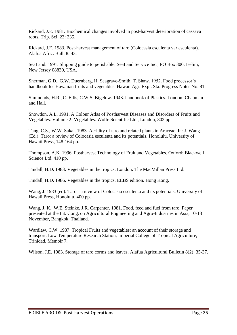Rickard, J.E. 1981. Biochemical changes involved in post-harvest deterioration of cassava roots. Trip. Sci. 23: 235.

Rickard, J.E. 1983. Post-harvest management of taro (Colocasia esculenta var esculenta). Alafua Afric. Bull. 8: 43.

SeaLand. 1991. Shipping guide to perishable. SeaLand Service Inc., PO Box 800, Iselim, New Jersey 08830, USA.

Sherman, G.D., G.W. Duernberg, H. Seagrave-Smith, T. Shaw. 1952. Food processor's handbook for Hawaiian fruits and vegetables. Hawaii Agr. Expt. Sta. Progress Notes No. 81.

Simmonds, H.R., C. Ellis, C.W.S. Bigelow. 1943. handbook of Plastics. London: Chapman and Hall.

Snowdon, A.L. 1991. A Colour Atlas of Postharvest Diseases and Disorders of Fruits and Vegetables. Volume 2: Vegetables. Wolfe Scientific Ltd., London, 302 pp.

Tang, C.S., W.W. Sakai. 1983. Acridity of taro and related plants in Araceae. In: J. Wang (Ed.). Taro: a review of Colocasia esculenta and its potentials. Honolulu, University of Hawaii Press, 148-164 pp.

Thompson, A.K. 1996. Postharvest Technology of Fruit and Vegetables. Oxford: Blackwell Science Ltd. 410 pp.

Tindall, H.D. 1983. Vegetables in the tropics. London: The MacMillan Press Ltd.

Tindall, H.D. 1986. Vegetables in the tropics. ELBS edition. Hong Kong.

Wang, J. 1983 (ed). Taro - a review of Colocasia esculenta and its potentials. University of Hawaii Press, Honolulu. 400 pp.

Wang, J. K., W.E. Steinke, J.R. Carpenter. 1981. Food, feed and fuel from taro. Paper presented at the Int. Cong. on Agricultural Engineering and Agro-Industries in Asia, 10-13 November, Bangkok, Thailand.

Wardlaw, C.W. 1937. Tropical Fruits and vegetables: an account of their storage and transport. Low Temperature Research Station, Imperial College of Tropical Agriculture, Trinidad, Memoir 7.

Wilson, J.E. 1983. Storage of taro corms and leaves. Alafua Agricultural Bulletin 8(2): 35-37.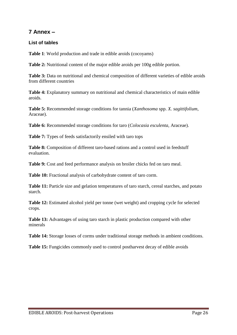## <span id="page-26-0"></span>**7 Annex –**

#### <span id="page-26-1"></span>**List of tables**

**Table 1**: World production and trade in edible aroids (cocoyams)

**Table 2:** Nutritional content of the major edible aroids per 100g edible portion.

**Table 3:** Data on nutritional and chemical composition of different varieties of edible aroids from different countries

**Table 4:** Explanatory summary on nutritional and chemical characteristics of main edible aroids.

**Table 5:** Recommended storage conditions for tannia (*Xanthosoma* spp. *X. sagittifolium*, Araceae).

**Table 6:** Recommended storage conditions for taro (*Colocasia esculenta*, Araceae).

**Table 7:** Types of feeds satisfactorily ensiled with taro tops

**Table 8:** Composition of different taro-based rations and a control used in feedstuff evaluation.

**Table 9:** Cost and feed performance analysis on broiler chicks fed on taro meal.

**Table 10:** Fractional analysis of carbohydrate content of taro corm.

**Table 11:** Particle size and gelation temperatures of taro starch, cereal starches, and potato starch.

**Table 12:** Estimated alcohol yield per tonne (wet weight) and cropping cycle for selected crops.

**Table 13:** Advantages of using taro starch in plastic production compared with other minerals

**Table 14:** Storage losses of corms under traditional storage methods in ambient conditions.

**Table 15:** Fungicides commonly used to control postharvest decay of edible avoids